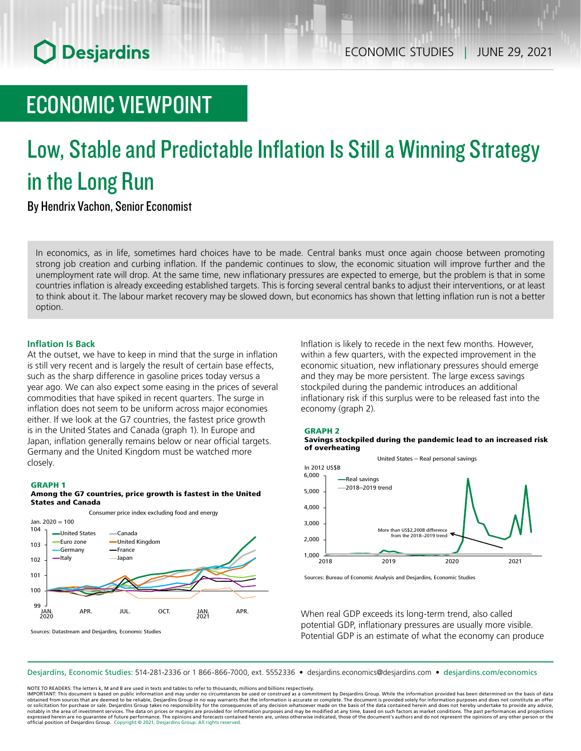## **O** Desjardins

## ECONOMIC VIEWPOINT

# Low, Stable and Predictable Inflation Is Still a Winning Strategy in the Long Run

By Hendrix Vachon, Senior Economist

In economics, as in life, sometimes hard choices have to be made. Central banks must once again choose between promoting strong job creation and curbing inflation. If the pandemic continues to slow, the economic situation will improve further and the unemployment rate will drop. At the same time, new inflationary pressures are expected to emerge, but the problem is that in some countries inflation is already exceeding established targets. This is forcing several central banks to adjust their interventions, or at least to think about it. The labour market recovery may be slowed down, but economics has shown that letting inflation run is not a better option.

## **Inflation Is Back**

At the outset, we have to keep in mind that the surge in inflation is still very recent and is largely the result of certain base effects, such as the sharp difference in gasoline prices today versus a year ago. We can also expect some easing in the prices of several commodities that have spiked in recent quarters. The surge in inflation does not seem to be uniform across major economies either. If we look at the G7 countries, the fastest price growth is in the United States and Canada (graph 1). In Europe and Japan, inflation generally remains below or near official targets. Germany and the United Kingdom must be watched more closely.

## GRAPH 1

### Among the G7 countries, price growth is fastest in the United States and Canada



Inflation is likely to recede in the next few months. However, within a few quarters, with the expected improvement in the economic situation, new inflationary pressures should emerge and they may be more persistent. The large excess savings stockpiled during the pandemic introduces an additional inflationary risk if this surplus were to be released fast into the economy (graph 2).

## GRAPH 2

#### Savings stockpiled during the pandemic lead to an increased risk of overheating



Sources: Bureau of Economic Analysis and Desjardins, Economic Studies

When real GDP exceeds its long-term trend, also called potential GDP, inflationary pressures are usually more visible. Potential GDP is an estimate of what the economy can produce

Desjardins, Economic Studies: 514‑281‑2336 or 1 866‑866‑7000, ext. 5552336 • desjardins.economics@desjardins.com • [desjardins.com/economics](http://desjardins.com/economics)

NOTE TO READERS: The letters k, M and B are used in texts and tables to refer to thousands, millions and billions respectively.

IMPORTANT: This document is based on public information and may under no circumstances be used or construed as a commitment by Desjardins Group. While the information provided has been determined on the basis of data obtained from sources that are deemed to be reliable, Desjardins Group in no way warrants that the information is accurate or complete. The document is provided solely for information purposes and does not constitute an of notably in the area of investment services. The data on prices or margins are provided for information purposes and may be modified at any time, based on such factors as market conditions. The past performances and project expressed herein are no guarantee of future performance. The opinions and forecasts contained herein are, unless otherwise indicated, those of the document's authors and do not represent the opinions of any other person or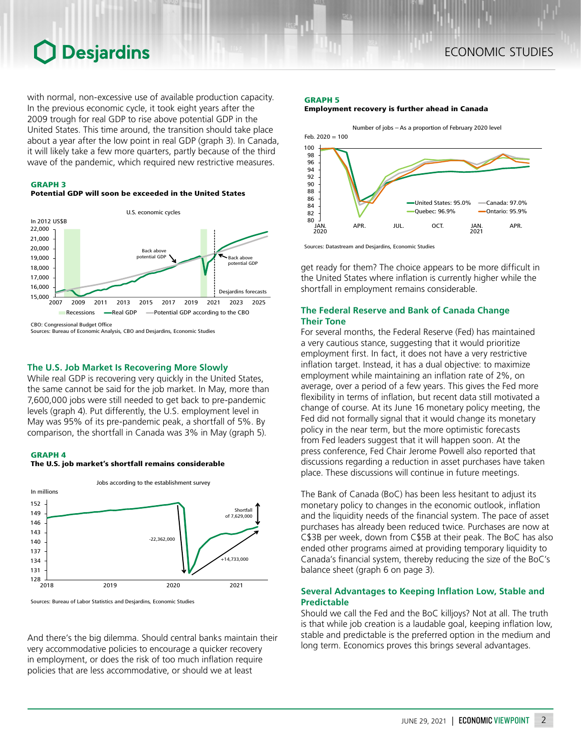## **O** Desjardins

with normal, non-excessive use of available production capacity. In the previous economic cycle, it took eight years after the 2009 trough for real GDP to rise above potential GDP in the United States. This time around, the transition should take place about a year after the low point in real GDP (graph 3). In Canada, it will likely take a few more quarters, partly because of the third wave of the pandemic, which required new restrictive measures.

## GRAPH 3





Sources: Bureau of Economic Analysis, CBO and Desjardins, Economic Studies

## **The U.S. Job Market Is Recovering More Slowly**

While real GDP is recovering very quickly in the United States, the same cannot be said for the job market. In May, more than 7,600,000 jobs were still needed to get back to pre-pandemic levels (graph 4). Put differently, the U.S. employment level in May was 95% of its pre-pandemic peak, a shortfall of 5%. By comparison, the shortfall in Canada was 3% in May (graph 5).

## GRAPH 4





Sources: Bureau of Labor Statistics and Desjardins, Economic Studies

And there's the big dilemma. Should central banks maintain their very accommodative policies to encourage a quicker recovery in employment, or does the risk of too much inflation require policies that are less accommodative, or should we at least

### GRAPH 5

Employment recovery is further ahead in Canada



Sources: Datastream and Desjardins, Economic Studies

get ready for them? The choice appears to be more difficult in the United States where inflation is currently higher while the shortfall in employment remains considerable.

## **The Federal Reserve and Bank of Canada Change Their Tone**

For several months, the Federal Reserve (Fed) has maintained a very cautious stance, suggesting that it would prioritize employment first. In fact, it does not have a very restrictive inflation target. Instead, it has a dual objective: to maximize employment while maintaining an inflation rate of 2%, on average, over a period of a few years. This gives the Fed more flexibility in terms of inflation, but recent data still motivated a change of course. At its June 16 monetary policy meeting, the Fed did not formally signal that it would change its monetary policy in the near term, but the more optimistic forecasts from Fed leaders suggest that it will happen soon. At the press conference, Fed Chair Jerome Powell also reported that discussions regarding a reduction in asset purchases have taken place. These discussions will continue in future meetings.

The Bank of Canada (BoC) has been less hesitant to adjust its monetary policy to changes in the economic outlook, inflation and the liquidity needs of the financial system. The pace of asset purchases has already been reduced twice. Purchases are now at C\$3B per week, down from C\$5B at their peak. The BoC has also ended other programs aimed at providing temporary liquidity to Canada's financial system, thereby reducing the size of the BoC's balance sheet (graph 6 on page 3).

## **Several Advantages to Keeping Inflation Low, Stable and Predictable**

Should we call the Fed and the BoC killjoys? Not at all. The truth is that while job creation is a laudable goal, keeping inflation low, stable and predictable is the preferred option in the medium and long term. Economics proves this brings several advantages.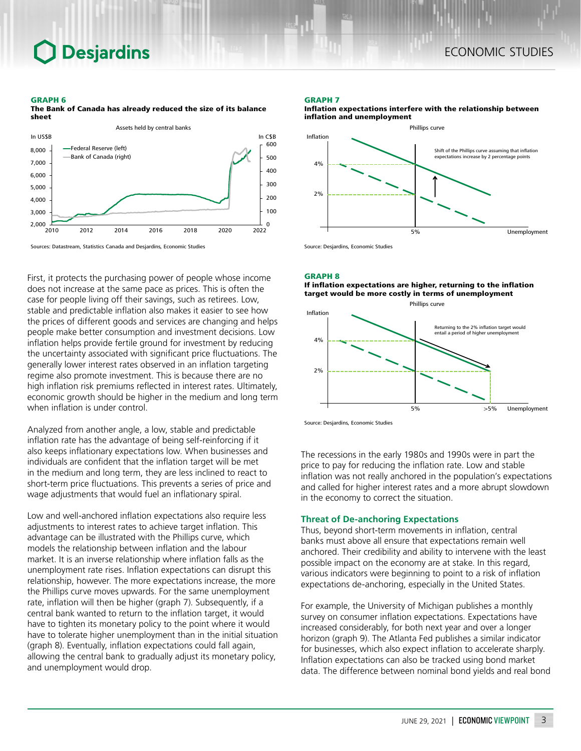## **Desjardins**

## ECONOMIC STUDIES

#### GRAPH 6

The Bank of Canada has already reduced the size of its balance sheet



Sources: Datastream, Statistics Canada and Desjardins, Economic Studies

First, it protects the purchasing power of people whose income does not increase at the same pace as prices. This is often the case for people living off their savings, such as retirees. Low, stable and predictable inflation also makes it easier to see how the prices of different goods and services are changing and helps people make better consumption and investment decisions. Low inflation helps provide fertile ground for investment by reducing the uncertainty associated with significant price fluctuations. The generally lower interest rates observed in an inflation targeting regime also promote investment. This is because there are no high inflation risk premiums reflected in interest rates. Ultimately, economic growth should be higher in the medium and long term when inflation is under control.

Analyzed from another angle, a low, stable and predictable inflation rate has the advantage of being self-reinforcing if it also keeps inflationary expectations low. When businesses and individuals are confident that the inflation target will be met in the medium and long term, they are less inclined to react to short-term price fluctuations. This prevents a series of price and wage adjustments that would fuel an inflationary spiral.

Low and well-anchored inflation expectations also require less adjustments to interest rates to achieve target inflation. This advantage can be illustrated with the Phillips curve, which models the relationship between inflation and the labour market. It is an inverse relationship where inflation falls as the unemployment rate rises. Inflation expectations can disrupt this relationship, however. The more expectations increase, the more the Phillips curve moves upwards. For the same unemployment rate, inflation will then be higher (graph 7). Subsequently, if a central bank wanted to return to the inflation target, it would have to tighten its monetary policy to the point where it would have to tolerate higher unemployment than in the initial situation (graph 8). Eventually, inflation expectations could fall again, allowing the central bank to gradually adjust its monetary policy, and unemployment would drop.

#### GRAPH 7





GRAPH 8

If inflation expectations are higher, returning to the inflation target would be more costly in terms of unemployment





The recessions in the early 1980s and 1990s were in part the price to pay for reducing the inflation rate. Low and stable inflation was not really anchored in the population's expectations and called for higher interest rates and a more abrupt slowdown in the economy to correct the situation.

## **Threat of De-anchoring Expectations**

Thus, beyond short-term movements in inflation, central banks must above all ensure that expectations remain well anchored. Their credibility and ability to intervene with the least possible impact on the economy are at stake. In this regard, various indicators were beginning to point to a risk of inflation expectations de-anchoring, especially in the United States.

For example, the University of Michigan publishes a monthly survey on consumer inflation expectations. Expectations have increased considerably, for both next year and over a longer horizon (graph 9). The Atlanta Fed publishes a similar indicator for businesses, which also expect inflation to accelerate sharply. Inflation expectations can also be tracked using bond market data. The difference between nominal bond yields and real bond